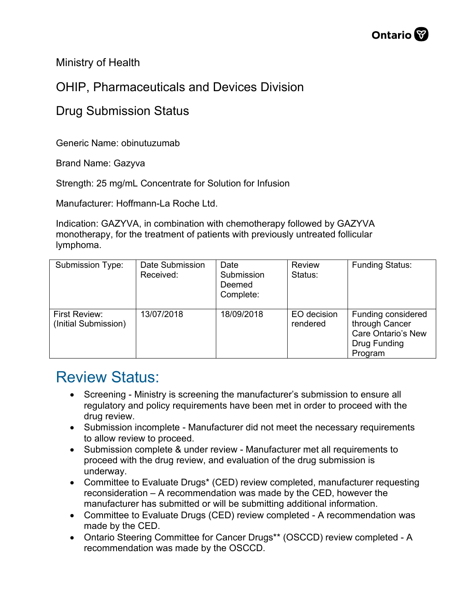Ministry of Health

## OHIP, Pharmaceuticals and Devices Division

## Drug Submission Status

Generic Name: obinutuzumab

Brand Name: Gazyva

Strength: 25 mg/mL Concentrate for Solution for Infusion

Manufacturer: Hoffmann-La Roche Ltd.

Indication: GAZYVA, in combination with chemotherapy followed by GAZYVA monotherapy, for the treatment of patients with previously untreated follicular lymphoma.

| <b>Submission Type:</b>               | Date Submission<br>Received: | Date<br>Submission<br>Deemed<br>Complete: | <b>Review</b><br>Status: | <b>Funding Status:</b>                                                                       |
|---------------------------------------|------------------------------|-------------------------------------------|--------------------------|----------------------------------------------------------------------------------------------|
| First Review:<br>(Initial Submission) | 13/07/2018                   | 18/09/2018                                | EO decision<br>rendered  | Funding considered<br>through Cancer<br><b>Care Ontario's New</b><br>Drug Funding<br>Program |

## Review Status:

- Screening Ministry is screening the manufacturer's submission to ensure all regulatory and policy requirements have been met in order to proceed with the drug review.
- Submission incomplete Manufacturer did not meet the necessary requirements to allow review to proceed.
- Submission complete & under review Manufacturer met all requirements to proceed with the drug review, and evaluation of the drug submission is underway.
- Committee to Evaluate Drugs\* (CED) review completed, manufacturer requesting reconsideration – A recommendation was made by the CED, however the manufacturer has submitted or will be submitting additional information.
- Committee to Evaluate Drugs (CED) review completed A recommendation was made by the CED.
- Ontario Steering Committee for Cancer Drugs\*\* (OSCCD) review completed A recommendation was made by the OSCCD.